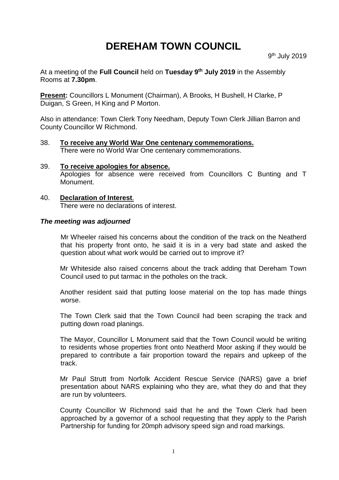# **DEREHAM TOWN COUNCIL**

At a meeting of the **Full Council** held on **Tuesday 9 th July 2019** in the Assembly Rooms at **7.30pm**.

**Present:** Councillors L Monument (Chairman), A Brooks, H Bushell, H Clarke, P Duigan, S Green, H King and P Morton.

Also in attendance: Town Clerk Tony Needham, Deputy Town Clerk Jillian Barron and County Councillor W Richmond.

- 38. **To receive any World War One centenary commemorations.** There were no World War One centenary commemorations.
- 39. **To receive apologies for absence.** Apologies for absence were received from Councillors C Bunting and T Monument.
- 40. **Declaration of Interest**. There were no declarations of interest.

#### *The meeting was adjourned*

Mr Wheeler raised his concerns about the condition of the track on the Neatherd that his property front onto, he said it is in a very bad state and asked the question about what work would be carried out to improve it?

Mr Whiteside also raised concerns about the track adding that Dereham Town Council used to put tarmac in the potholes on the track.

Another resident said that putting loose material on the top has made things worse.

The Town Clerk said that the Town Council had been scraping the track and putting down road planings.

The Mayor, Councillor L Monument said that the Town Council would be writing to residents whose properties front onto Neatherd Moor asking if they would be prepared to contribute a fair proportion toward the repairs and upkeep of the track.

Mr Paul Strutt from Norfolk Accident Rescue Service (NARS) gave a brief presentation about NARS explaining who they are, what they do and that they are run by volunteers.

County Councillor W Richmond said that he and the Town Clerk had been approached by a governor of a school requesting that they apply to the Parish Partnership for funding for 20mph advisory speed sign and road markings.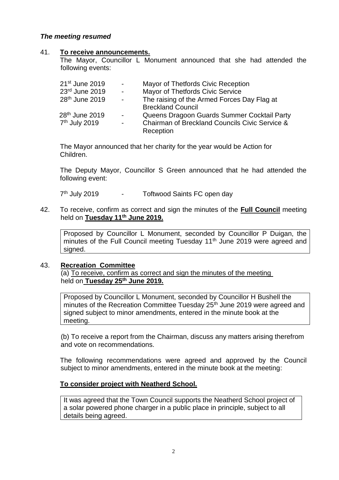# *The meeting resumed*

#### 41. **To receive announcements.**

The Mayor, Councillor L Monument announced that she had attended the following events:

| 21 <sup>st</sup> June 2019 | $\blacksquare$      | Mayor of Thetfords Civic Reception             |
|----------------------------|---------------------|------------------------------------------------|
| 23rd June 2019             | $\omega_{\rm{eff}}$ | <b>Mayor of Thetfords Civic Service</b>        |
| 28th June 2019             | $\blacksquare$      | The raising of the Armed Forces Day Flag at    |
|                            |                     | <b>Breckland Council</b>                       |
| 28 <sup>th</sup> June 2019 | $\blacksquare$      | Queens Dragoon Guards Summer Cocktail Party    |
| 7 <sup>th</sup> July 2019  | $\mathbf{r}$        | Chairman of Breckland Councils Civic Service & |
|                            |                     | Reception                                      |

The Mayor announced that her charity for the year would be Action for Children.

The Deputy Mayor, Councillor S Green announced that he had attended the following event:

7<sup>th</sup> July 2019 - Toftwood Saints FC open day

42. To receive, confirm as correct and sign the minutes of the **Full Council** meeting held on **Tuesday 11th June 2019.**

Proposed by Councillor L Monument, seconded by Councillor P Duigan, the minutes of the Full Council meeting Tuesday 11<sup>th</sup> June 2019 were agreed and signed.

#### 43. **Recreation Committee**

(a) To receive, confirm as correct and sign the minutes of the meeting held on **Tuesday 25th June 2019.**

Proposed by Councillor L Monument, seconded by Councillor H Bushell the minutes of the Recreation Committee Tuesday 25<sup>th</sup> June 2019 were agreed and signed subject to minor amendments, entered in the minute book at the meeting.

(b) To receive a report from the Chairman, discuss any matters arising therefrom and vote on recommendations.

The following recommendations were agreed and approved by the Council subject to minor amendments, entered in the minute book at the meeting:

#### **To consider project with Neatherd School.**

It was agreed that the Town Council supports the Neatherd School project of a solar powered phone charger in a public place in principle, subject to all details being agreed.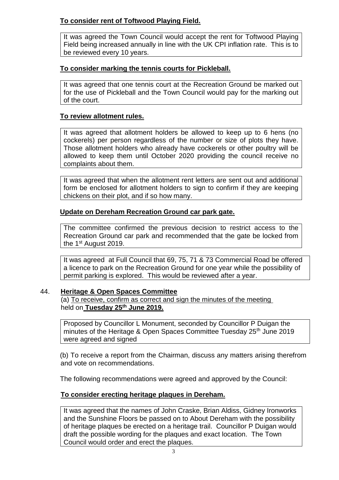# **To consider rent of Toftwood Playing Field.**

It was agreed the Town Council would accept the rent for Toftwood Playing Field being increased annually in line with the UK CPI inflation rate. This is to be reviewed every 10 years.

# **To consider marking the tennis courts for Pickleball.**

It was agreed that one tennis court at the Recreation Ground be marked out for the use of Pickleball and the Town Council would pay for the marking out of the court.

# **To review allotment rules.**

It was agreed that allotment holders be allowed to keep up to 6 hens (no cockerels) per person regardless of the number or size of plots they have. Those allotment holders who already have cockerels or other poultry will be allowed to keep them until October 2020 providing the council receive no complaints about them.

It was agreed that when the allotment rent letters are sent out and additional form be enclosed for allotment holders to sign to confirm if they are keeping chickens on their plot, and if so how many.

# **Update on Dereham Recreation Ground car park gate.**

The committee confirmed the previous decision to restrict access to the Recreation Ground car park and recommended that the gate be locked from the 1<sup>st</sup> August 2019.

It was agreed at Full Council that 69, 75, 71 & 73 Commercial Road be offered a licence to park on the Recreation Ground for one year while the possibility of permit parking is explored. This would be reviewed after a year.

# 44. **Heritage & Open Spaces Committee**

(a) To receive, confirm as correct and sign the minutes of the meeting held on **Tuesday 25th June 2019.**

Proposed by Councillor L Monument, seconded by Councillor P Duigan the minutes of the Heritage & Open Spaces Committee Tuesday 25<sup>th</sup> June 2019 were agreed and signed

(b) To receive a report from the Chairman, discuss any matters arising therefrom and vote on recommendations.

The following recommendations were agreed and approved by the Council:

# **To consider erecting heritage plaques in Dereham.**

It was agreed that the names of John Craske, Brian Aldiss, Gidney Ironworks and the Sunshine Floors be passed on to About Dereham with the possibility of heritage plaques be erected on a heritage trail. Councillor P Duigan would draft the possible wording for the plaques and exact location. The Town Council would order and erect the plaques.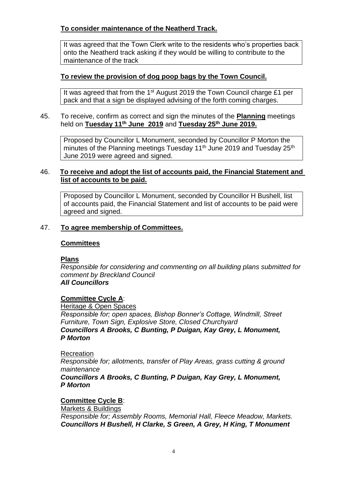# **To consider maintenance of the Neatherd Track.**

It was agreed that the Town Clerk write to the residents who's properties back onto the Neatherd track asking if they would be willing to contribute to the maintenance of the track

# **To review the provision of dog poop bags by the Town Council.**

It was agreed that from the 1<sup>st</sup> August 2019 the Town Council charge £1 per pack and that a sign be displayed advising of the forth coming charges.

## 45. To receive, confirm as correct and sign the minutes of the **Planning** meetings held on **Tuesday 11th June 2019** and **Tuesday 25th June 2019.**

Proposed by Councillor L Monument, seconded by Councillor P Morton the minutes of the Planning meetings Tuesday 11<sup>th</sup> June 2019 and Tuesday 25<sup>th</sup> June 2019 were agreed and signed.

# 46. **To receive and adopt the list of accounts paid, the Financial Statement and list of accounts to be paid.**

Proposed by Councillor L Monument, seconded by Councillor H Bushell, list of accounts paid, the Financial Statement and list of accounts to be paid were agreed and signed.

# 47. **To agree membership of Committees.**

# **Committees**

# **Plans**

*Responsible for considering and commenting on all building plans submitted for comment by Breckland Council All Councillors*

# **Committee Cycle A**:

Heritage & Open Spaces *Responsible for; open spaces, Bishop Bonner's Cottage, Windmill, Street Furniture, Town Sign, Explosive Store, Closed Churchyard Councillors A Brooks, C Bunting, P Duigan, Kay Grey, L Monument, P Morton*

#### **Recreation**

*Responsible for; allotments, transfer of Play Areas, grass cutting & ground maintenance*

*Councillors A Brooks, C Bunting, P Duigan, Kay Grey, L Monument, P Morton*

# **Committee Cycle B**:

Markets & Buildings

*Responsible for; Assembly Rooms, Memorial Hall, Fleece Meadow, Markets. Councillors H Bushell, H Clarke, S Green, A Grey, H King, T Monument*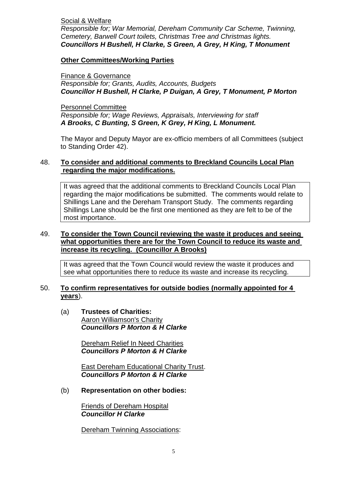Social & Welfare

*Responsible for; War Memorial, Dereham Community Car Scheme, Twinning, Cemetery, Barwell Court toilets, Christmas Tree and Christmas lights. Councillors H Bushell, H Clarke, S Green, A Grey, H King, T Monument*

## **Other Committees/Working Parties**

Finance & Governance *Responsible for; Grants, Audits, Accounts, Budgets Councillor H Bushell, H Clarke, P Duigan, A Grey, T Monument, P Morton*

Personnel Committee *Responsible for; Wage Reviews, Appraisals, Interviewing for staff A Brooks, C Bunting, S Green, K Grey, H King, L Monument.*

The Mayor and Deputy Mayor are ex-officio members of all Committees (subject to Standing Order 42).

# 48. **To consider and additional comments to Breckland Councils Local Plan regarding the major modifications.**

It was agreed that the additional comments to Breckland Councils Local Plan regarding the major modifications be submitted. The comments would relate to Shillings Lane and the Dereham Transport Study. The comments regarding Shillings Lane should be the first one mentioned as they are felt to be of the most importance.

# 49. **To consider the Town Council reviewing the waste it produces and seeing what opportunities there are for the Town Council to reduce its waste and increase its recycling. (Councillor A Brooks)**

It was agreed that the Town Council would review the waste it produces and see what opportunities there to reduce its waste and increase its recycling.

#### 50. **To confirm representatives for outside bodies (normally appointed for 4 years**).

(a) **Trustees of Charities:** Aaron Williamson's Charity *Councillors P Morton & H Clarke*

> Dereham Relief In Need Charities *Councillors P Morton & H Clarke*

East Dereham Educational Charity Trust. *Councillors P Morton & H Clarke*

(b) **Representation on other bodies:**

Friends of Dereham Hospital *Councillor H Clarke*

Dereham Twinning Associations: